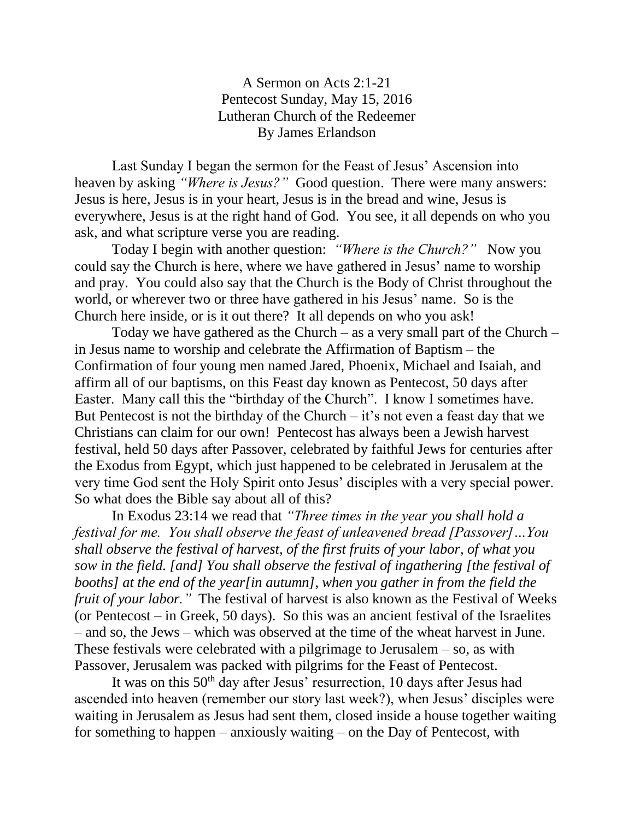A Sermon on Acts 2:1-21 Pentecost Sunday, May 15, 2016 Lutheran Church of the Redeemer By James Erlandson

Last Sunday I began the sermon for the Feast of Jesus' Ascension into heaven by asking *"Where is Jesus?"* Good question. There were many answers: Jesus is here, Jesus is in your heart, Jesus is in the bread and wine, Jesus is everywhere, Jesus is at the right hand of God. You see, it all depends on who you ask, and what scripture verse you are reading.

Today I begin with another question: *"Where is the Church?"* Now you could say the Church is here, where we have gathered in Jesus' name to worship and pray. You could also say that the Church is the Body of Christ throughout the world, or wherever two or three have gathered in his Jesus' name. So is the Church here inside, or is it out there? It all depends on who you ask!

Today we have gathered as the Church – as a very small part of the Church – in Jesus name to worship and celebrate the Affirmation of Baptism – the Confirmation of four young men named Jared, Phoenix, Michael and Isaiah, and affirm all of our baptisms, on this Feast day known as Pentecost, 50 days after Easter. Many call this the "birthday of the Church". I know I sometimes have. But Pentecost is not the birthday of the Church  $-$  it's not even a feast day that we Christians can claim for our own! Pentecost has always been a Jewish harvest festival, held 50 days after Passover, celebrated by faithful Jews for centuries after the Exodus from Egypt, which just happened to be celebrated in Jerusalem at the very time God sent the Holy Spirit onto Jesus' disciples with a very special power. So what does the Bible say about all of this?

In Exodus 23:14 we read that *"Three times in the year you shall hold a festival for me. You shall observe the feast of unleavened bread [Passover]…You shall observe the festival of harvest, of the first fruits of your labor, of what you sow in the field. [and] You shall observe the festival of ingathering [the festival of booths] at the end of the year[in autumn], when you gather in from the field the fruit of your labor.*" The festival of harvest is also known as the Festival of Weeks (or Pentecost – in Greek, 50 days). So this was an ancient festival of the Israelites – and so, the Jews – which was observed at the time of the wheat harvest in June. These festivals were celebrated with a pilgrimage to Jerusalem  $-$  so, as with Passover, Jerusalem was packed with pilgrims for the Feast of Pentecost.

It was on this  $50<sup>th</sup>$  day after Jesus' resurrection, 10 days after Jesus had ascended into heaven (remember our story last week?), when Jesus' disciples were waiting in Jerusalem as Jesus had sent them, closed inside a house together waiting for something to happen – anxiously waiting – on the Day of Pentecost, with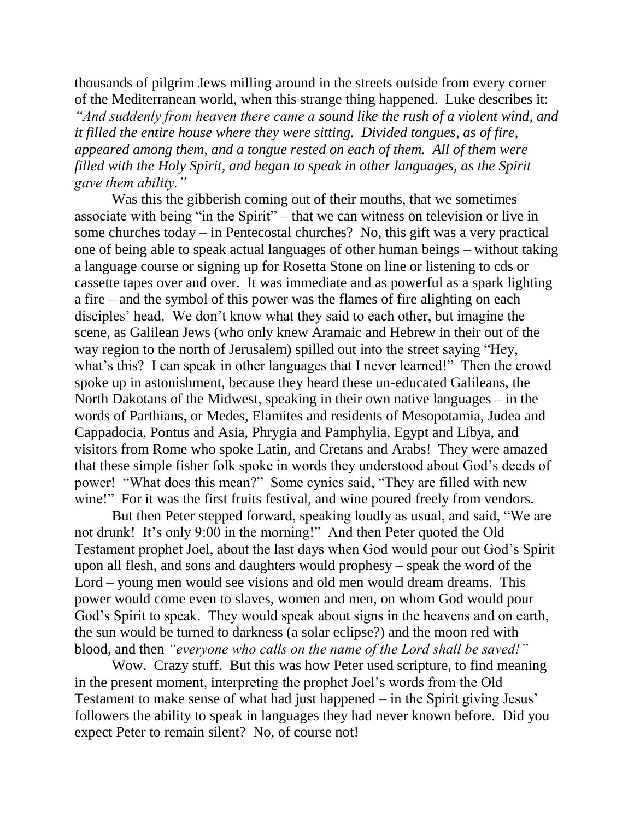thousands of pilgrim Jews milling around in the streets outside from every corner of the Mediterranean world, when this strange thing happened. Luke describes it: *"And suddenly from heaven there came a sound like the rush of a violent wind, and it filled the entire house where they were sitting. Divided tongues, as of fire, appeared among them, and a tongue rested on each of them. All of them were filled with the Holy Spirit, and began to speak in other languages, as the Spirit gave them ability."*

Was this the gibberish coming out of their mouths, that we sometimes associate with being "in the Spirit" – that we can witness on television or live in some churches today – in Pentecostal churches? No, this gift was a very practical one of being able to speak actual languages of other human beings – without taking a language course or signing up for Rosetta Stone on line or listening to cds or cassette tapes over and over. It was immediate and as powerful as a spark lighting a fire – and the symbol of this power was the flames of fire alighting on each disciples' head. We don't know what they said to each other, but imagine the scene, as Galilean Jews (who only knew Aramaic and Hebrew in their out of the way region to the north of Jerusalem) spilled out into the street saying "Hey, what's this? I can speak in other languages that I never learned!" Then the crowd spoke up in astonishment, because they heard these un-educated Galileans, the North Dakotans of the Midwest, speaking in their own native languages – in the words of Parthians, or Medes, Elamites and residents of Mesopotamia, Judea and Cappadocia, Pontus and Asia, Phrygia and Pamphylia, Egypt and Libya, and visitors from Rome who spoke Latin, and Cretans and Arabs! They were amazed that these simple fisher folk spoke in words they understood about God's deeds of power! "What does this mean?" Some cynics said, "They are filled with new wine!" For it was the first fruits festival, and wine poured freely from vendors.

But then Peter stepped forward, speaking loudly as usual, and said, "We are not drunk! It's only 9:00 in the morning!" And then Peter quoted the Old Testament prophet Joel, about the last days when God would pour out God's Spirit upon all flesh, and sons and daughters would prophesy – speak the word of the Lord – young men would see visions and old men would dream dreams. This power would come even to slaves, women and men, on whom God would pour God's Spirit to speak. They would speak about signs in the heavens and on earth, the sun would be turned to darkness (a solar eclipse?) and the moon red with blood, and then *"everyone who calls on the name of the Lord shall be saved!"*

Wow. Crazy stuff. But this was how Peter used scripture, to find meaning in the present moment, interpreting the prophet Joel's words from the Old Testament to make sense of what had just happened – in the Spirit giving Jesus' followers the ability to speak in languages they had never known before. Did you expect Peter to remain silent? No, of course not!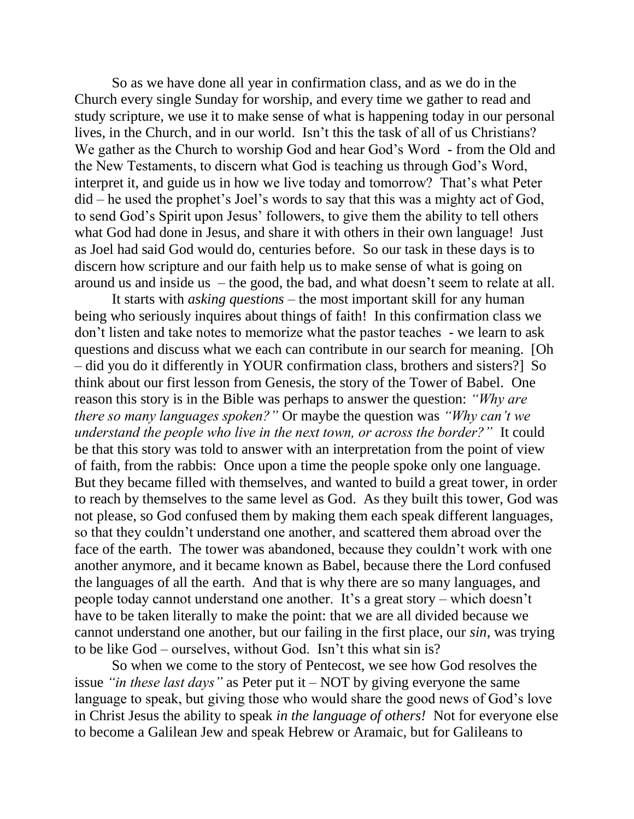So as we have done all year in confirmation class, and as we do in the Church every single Sunday for worship, and every time we gather to read and study scripture, we use it to make sense of what is happening today in our personal lives, in the Church, and in our world. Isn't this the task of all of us Christians? We gather as the Church to worship God and hear God's Word - from the Old and the New Testaments, to discern what God is teaching us through God's Word, interpret it, and guide us in how we live today and tomorrow? That's what Peter did – he used the prophet's Joel's words to say that this was a mighty act of God, to send God's Spirit upon Jesus' followers, to give them the ability to tell others what God had done in Jesus, and share it with others in their own language! Just as Joel had said God would do, centuries before. So our task in these days is to discern how scripture and our faith help us to make sense of what is going on around us and inside us – the good, the bad, and what doesn't seem to relate at all.

It starts with *asking questions* – the most important skill for any human being who seriously inquires about things of faith! In this confirmation class we don't listen and take notes to memorize what the pastor teaches - we learn to ask questions and discuss what we each can contribute in our search for meaning. [Oh – did you do it differently in YOUR confirmation class, brothers and sisters?] So think about our first lesson from Genesis, the story of the Tower of Babel. One reason this story is in the Bible was perhaps to answer the question: *"Why are there so many languages spoken?"* Or maybe the question was *"Why can't we understand the people who live in the next town, or across the border?"* It could be that this story was told to answer with an interpretation from the point of view of faith, from the rabbis: Once upon a time the people spoke only one language. But they became filled with themselves, and wanted to build a great tower, in order to reach by themselves to the same level as God. As they built this tower, God was not please, so God confused them by making them each speak different languages, so that they couldn't understand one another, and scattered them abroad over the face of the earth. The tower was abandoned, because they couldn't work with one another anymore, and it became known as Babel, because there the Lord confused the languages of all the earth. And that is why there are so many languages, and people today cannot understand one another. It's a great story – which doesn't have to be taken literally to make the point: that we are all divided because we cannot understand one another, but our failing in the first place, our *sin*, was trying to be like God – ourselves, without God. Isn't this what sin is?

So when we come to the story of Pentecost, we see how God resolves the issue *"in these last days"* as Peter put it – NOT by giving everyone the same language to speak, but giving those who would share the good news of God's love in Christ Jesus the ability to speak *in the language of others!* Not for everyone else to become a Galilean Jew and speak Hebrew or Aramaic, but for Galileans to